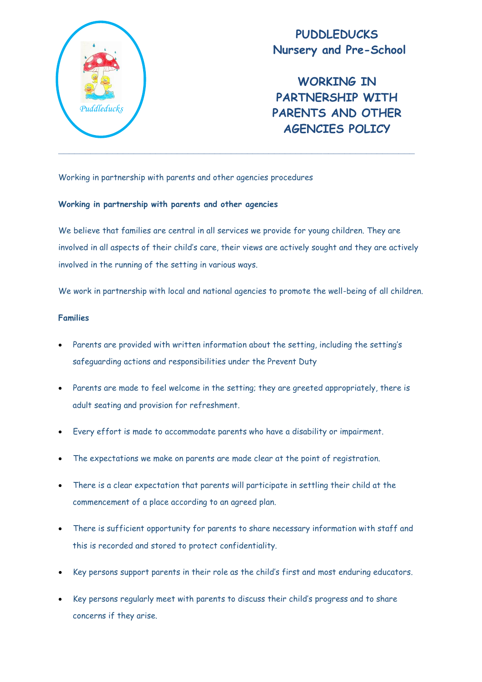

# **PUDDLEDUCKS Nursery and Pre-School**

**WORKING IN PARTNERSHIP WITH PARENTS AND OTHER AGENCIES POLICY**

Working in partnership with parents and other agencies procedures

#### **Working in partnership with parents and other agencies**

We believe that families are central in all services we provide for young children. They are involved in all aspects of their child's care, their views are actively sought and they are actively involved in the running of the setting in various ways.

We work in partnership with local and national agencies to promote the well-being of all children.

### **Families**

- Parents are provided with written information about the setting, including the setting's safeguarding actions and responsibilities under the Prevent Duty
- Parents are made to feel welcome in the setting; they are greeted appropriately, there is adult seating and provision for refreshment.
- Every effort is made to accommodate parents who have a disability or impairment.
- The expectations we make on parents are made clear at the point of registration.
- There is a clear expectation that parents will participate in settling their child at the commencement of a place according to an agreed plan.
- There is sufficient opportunity for parents to share necessary information with staff and this is recorded and stored to protect confidentiality.
- Key persons support parents in their role as the child's first and most enduring educators.
- Key persons regularly meet with parents to discuss their child's progress and to share concerns if they arise.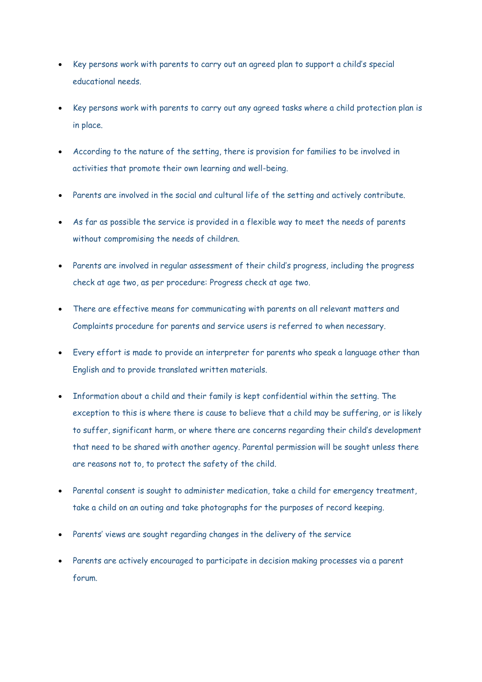- Key persons work with parents to carry out an agreed plan to support a child's special educational needs.
- Key persons work with parents to carry out any agreed tasks where a child protection plan is in place.
- According to the nature of the setting, there is provision for families to be involved in activities that promote their own learning and well-being.
- Parents are involved in the social and cultural life of the setting and actively contribute.
- As far as possible the service is provided in a flexible way to meet the needs of parents without compromising the needs of children.
- Parents are involved in regular assessment of their child's progress, including the progress check at age two, as per procedure: Progress check at age two.
- There are effective means for communicating with parents on all relevant matters and Complaints procedure for parents and service users is referred to when necessary.
- Every effort is made to provide an interpreter for parents who speak a language other than English and to provide translated written materials.
- Information about a child and their family is kept confidential within the setting. The exception to this is where there is cause to believe that a child may be suffering, or is likely to suffer, significant harm, or where there are concerns regarding their child's development that need to be shared with another agency. Parental permission will be sought unless there are reasons not to, to protect the safety of the child.
- Parental consent is sought to administer medication, take a child for emergency treatment, take a child on an outing and take photographs for the purposes of record keeping.
- Parents' views are sought regarding changes in the delivery of the service
- Parents are actively encouraged to participate in decision making processes via a parent forum.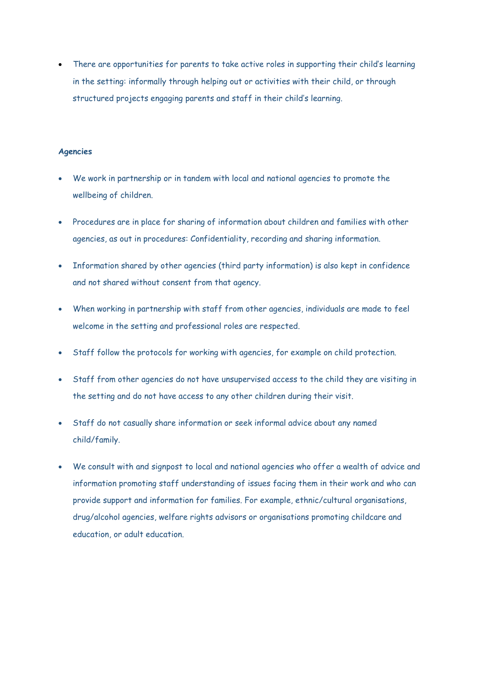There are opportunities for parents to take active roles in supporting their child's learning in the setting: informally through helping out or activities with their child, or through structured projects engaging parents and staff in their child's learning.

#### **Agencies**

- We work in partnership or in tandem with local and national agencies to promote the wellbeing of children.
- Procedures are in place for sharing of information about children and families with other agencies, as out in procedures: Confidentiality, recording and sharing information.
- Information shared by other agencies (third party information) is also kept in confidence and not shared without consent from that agency.
- When working in partnership with staff from other agencies, individuals are made to feel welcome in the setting and professional roles are respected.
- Staff follow the protocols for working with agencies, for example on child protection.
- Staff from other agencies do not have unsupervised access to the child they are visiting in the setting and do not have access to any other children during their visit.
- Staff do not casually share information or seek informal advice about any named child/family.
- We consult with and signpost to local and national agencies who offer a wealth of advice and information promoting staff understanding of issues facing them in their work and who can provide support and information for families. For example, ethnic/cultural organisations, drug/alcohol agencies, welfare rights advisors or organisations promoting childcare and education, or adult education.